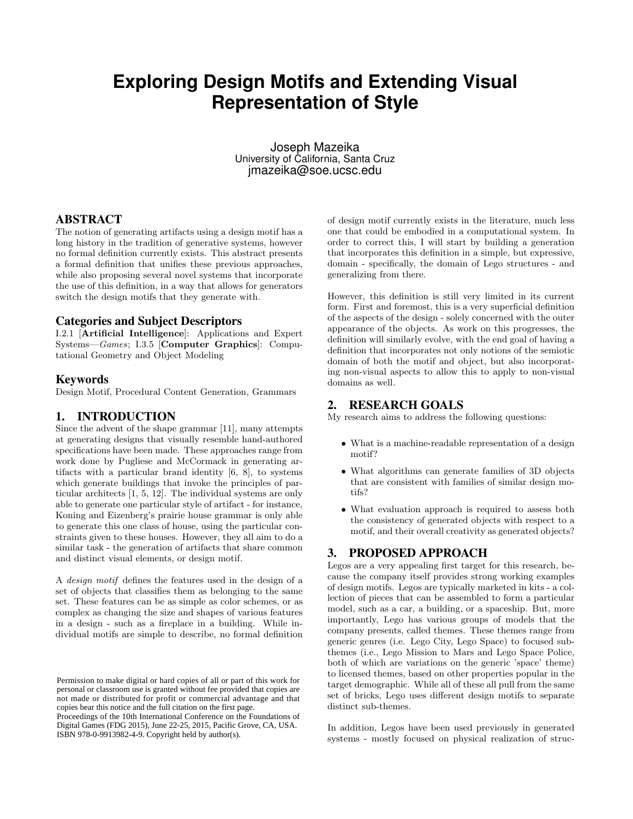# **Exploring Design Motifs and Extending Visual Representation of Style**

Joseph Mazeika University of California, Santa Cruz jmazeika@soe.ucsc.edu

# ABSTRACT

The notion of generating artifacts using a design motif has a long history in the tradition of generative systems, however no formal definition currently exists. This abstract presents a formal definition that unifies these previous approaches, while also proposing several novel systems that incorporate the use of this definition, in a way that allows for generators switch the design motifs that they generate with.

#### Categories and Subject Descriptors

I.2.1 [Artificial Intelligence]: Applications and Expert Systems—Games; I.3.5 [Computer Graphics]: Computational Geometry and Object Modeling

#### Keywords

Design Motif, Procedural Content Generation, Grammars

## 1. INTRODUCTION

Since the advent of the shape grammar [11], many attempts at generating designs that visually resemble hand-authored specifications have been made. These approaches range from work done by Pugliese and McCormack in generating artifacts with a particular brand identity [6, 8], to systems which generate buildings that invoke the principles of particular architects [1, 5, 12]. The individual systems are only able to generate one particular style of artifact - for instance, Koning and Eizenberg's prairie house grammar is only able to generate this one class of house, using the particular constraints given to these houses. However, they all aim to do a similar task - the generation of artifacts that share common and distinct visual elements, or design motif.

A design motif defines the features used in the design of a set of objects that classifies them as belonging to the same set. These features can be as simple as color schemes, or as complex as changing the size and shapes of various features in a design - such as a fireplace in a building. While individual motifs are simple to describe, no formal definition

Proceedings of the 10th International Conference on the Foundations of Digital Games (FDG 2015), June 22-25, 2015, Pacific Grove, CA, USA. ISBN 978-0-9913982-4-9. Copyright held by author(s).

of design motif currently exists in the literature, much less one that could be embodied in a computational system. In order to correct this, I will start by building a generation that incorporates this definition in a simple, but expressive, domain - specifically, the domain of Lego structures - and generalizing from there.

However, this definition is still very limited in its current form. First and foremost, this is a very superficial definition of the aspects of the design - solely concerned with the outer appearance of the objects. As work on this progresses, the definition will similarly evolve, with the end goal of having a definition that incorporates not only notions of the semiotic domain of both the motif and object, but also incorporating non-visual aspects to allow this to apply to non-visual domains as well.

# 2. RESEARCH GOALS

My research aims to address the following questions:

- What is a machine-readable representation of a design motif?
- What algorithms can generate families of 3D objects that are consistent with families of similar design motifs?
- What evaluation approach is required to assess both the consistency of generated objects with respect to a motif, and their overall creativity as generated objects?

# 3. PROPOSED APPROACH

Legos are a very appealing first target for this research, because the company itself provides strong working examples of design motifs. Legos are typically marketed in kits - a collection of pieces that can be assembled to form a particular model, such as a car, a building, or a spaceship. But, more importantly, Lego has various groups of models that the company presents, called themes. These themes range from generic genres (i.e. Lego City, Lego Space) to focused subthemes (i.e., Lego Mission to Mars and Lego Space Police, both of which are variations on the generic 'space' theme) to licensed themes, based on other properties popular in the target demographic. While all of these all pull from the same set of bricks, Lego uses different design motifs to separate distinct sub-themes.

In addition, Legos have been used previously in generated systems - mostly focused on physical realization of struc-

Permission to make digital or hard copies of all or part of this work for personal or classroom use is granted without fee provided that copies are not made or distributed for profit or commercial advantage and that copies bear this notice and the full citation on the first page.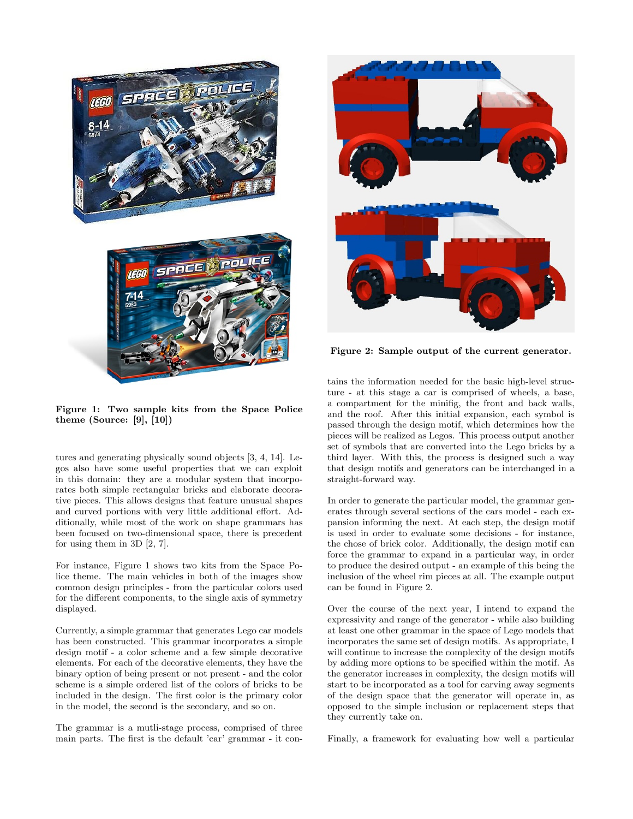

Figure 1: Two sample kits from the Space Police theme (Source:  $[9]$ ,  $[10]$ )

tures and generating physically sound objects [3, 4, 14]. Legos also have some useful properties that we can exploit in this domain: they are a modular system that incorporates both simple rectangular bricks and elaborate decorative pieces. This allows designs that feature unusual shapes and curved portions with very little additional effort. Additionally, while most of the work on shape grammars has been focused on two-dimensional space, there is precedent for using them in 3D [2, 7].

For instance, Figure 1 shows two kits from the Space Police theme. The main vehicles in both of the images show common design principles - from the particular colors used for the different components, to the single axis of symmetry displayed.

Currently, a simple grammar that generates Lego car models has been constructed. This grammar incorporates a simple design motif - a color scheme and a few simple decorative elements. For each of the decorative elements, they have the binary option of being present or not present - and the color scheme is a simple ordered list of the colors of bricks to be included in the design. The first color is the primary color in the model, the second is the secondary, and so on.

The grammar is a mutli-stage process, comprised of three main parts. The first is the default 'car' grammar - it con-



Figure 2: Sample output of the current generator.

tains the information needed for the basic high-level structure - at this stage a car is comprised of wheels, a base, a compartment for the minifig, the front and back walls, and the roof. After this initial expansion, each symbol is passed through the design motif, which determines how the pieces will be realized as Legos. This process output another set of symbols that are converted into the Lego bricks by a third layer. With this, the process is designed such a way that design motifs and generators can be interchanged in a straight-forward way.

In order to generate the particular model, the grammar generates through several sections of the cars model - each expansion informing the next. At each step, the design motif is used in order to evaluate some decisions - for instance, the chose of brick color. Additionally, the design motif can force the grammar to expand in a particular way, in order to produce the desired output - an example of this being the inclusion of the wheel rim pieces at all. The example output can be found in Figure 2.

Over the course of the next year, I intend to expand the expressivity and range of the generator - while also building at least one other grammar in the space of Lego models that incorporates the same set of design motifs. As appropriate, I will continue to increase the complexity of the design motifs by adding more options to be specified within the motif. As the generator increases in complexity, the design motifs will start to be incorporated as a tool for carving away segments of the design space that the generator will operate in, as opposed to the simple inclusion or replacement steps that they currently take on.

Finally, a framework for evaluating how well a particular